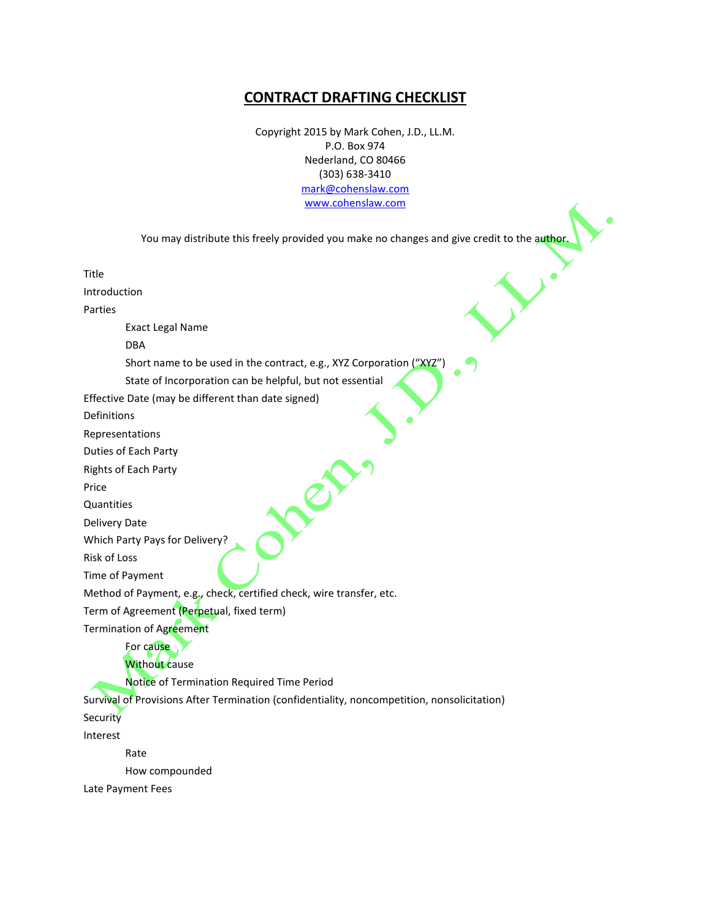## **CONTRACT DRAFTING CHECKLIST**

Copyright 2015 by Mark Cohen, J.D., LL.M. P.O. Box 974 Nederland, CO 80466 (303) 638-3410 [mark@cohenslaw.com](mailto:mark@cohenslaw.com) [www.cohenslaw.com](http://www.cohenslaw.com/)

You may distribute this freely provided you make no changes and give credit to the author.

 $\rightarrow$ 

Title

Introduction

Parties

Exact Legal Name

DBA

Short name to be used in the contract, e.g., XYZ Corporation ("XYZ")

State of Incorporation can be helpful, but not essential

Effective Date (may be different than date signed)

Definitions

Representations

Duties of Each Party

Rights of Each Party

Price

**Quantities** 

Delivery Date

Which Party Pays for Delivery?

Risk of Loss

Time of Payment

Method of Payment, e.g., check, certified check, wire transfer, etc.

Term of Agreement (Perpetual, fixed term)

Termination of Agreement

## For cause Without cause

Notice of Termination Required Time Period

Survival of Provisions After Termination (confidentiality, noncompetition, nonsolicitation) **Security** 

Interest

Rate

How compounded

Late Payment Fees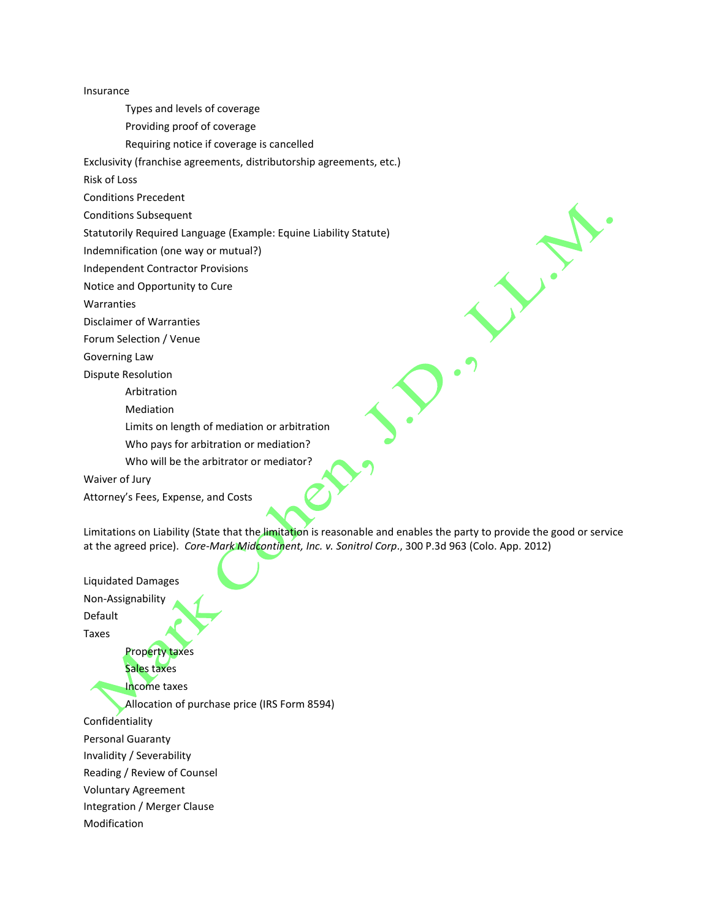Insurance

Types and levels of coverage

Providing proof of coverage

Requiring notice if coverage is cancelled

Exclusivity (franchise agreements, distributorship agreements, etc.)

Risk of Loss

Conditions Precedent

Conditions Subsequent

Statutorily Required Language (Example: Equine Liability Statute)

Indemnification (one way or mutual?)

Independent Contractor Provisions

Notice and Opportunity to Cure

Warranties

Disclaimer of Warranties

Forum Selection / Venue

Governing Law

Dispute Resolution

Arbitration

Mediation

Limits on length of mediation or arbitration

Who pays for arbitration or mediation?

Who will be the arbitrator or mediator?

Waiver of Jury

Attorney's Fees, Expense, and Costs

Limitations on Liability (State that the limitation is reasonable and enables the party to provide the good or service at the agreed price). *Core-Mark Midcontinent, Inc. v. Sonitrol Corp*., 300 P.3d 963 (Colo. App. 2012)

Liquidated Damages Non-Assignability Default Taxes Property taxes Sales taxes Income taxes Allocation of purchase price (IRS Form 8594) Confidentiality Personal Guaranty Invalidity / Severability Reading / Review of Counsel Voluntary Agreement Integration / Merger Clause Modification